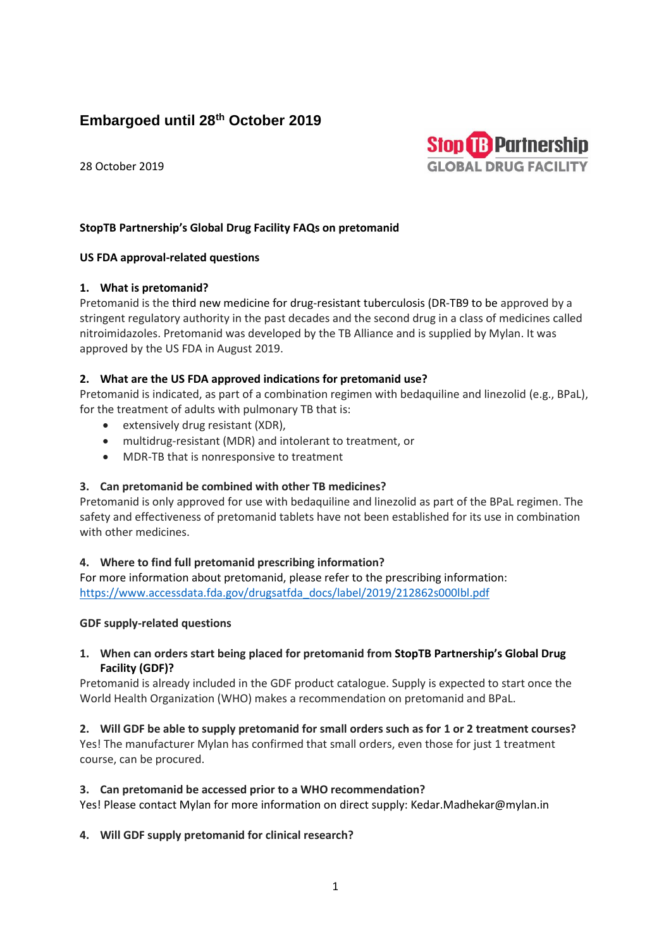# **Embargoed until 28th October 2019**

28 October 2019



# **StopTB Partnership's Global Drug Facility FAQs on pretomanid**

#### **US FDA approval-related questions**

## **1. What is pretomanid?**

Pretomanid is the third new medicine for drug-resistant tuberculosis (DR-TB9 to be approved by a stringent regulatory authority in the past decades and the second drug in a class of medicines called nitroimidazoles. Pretomanid was developed by the TB Alliance and is supplied by Mylan. It was approved by the US FDA in August 2019.

## **2. What are the US FDA approved indications for pretomanid use?**

Pretomanid is indicated, as part of a combination regimen with bedaquiline and linezolid (e.g., BPaL), for the treatment of adults with pulmonary TB that is:

- extensively drug resistant (XDR),
- multidrug-resistant (MDR) and intolerant to treatment, or
- MDR-TB that is nonresponsive to treatment

# **3. Can pretomanid be combined with other TB medicines?**

Pretomanid is only approved for use with bedaquiline and linezolid as part of the BPaL regimen. The safety and effectiveness of pretomanid tablets have not been established for its use in combination with other medicines.

# **4. Where to find full pretomanid prescribing information?**

For more information about pretomanid, please refer to the prescribing information: [https://www.accessdata.fda.gov/drugsatfda\\_docs/label/2019/212862s000lbl.pdf](https://www.accessdata.fda.gov/drugsatfda_docs/label/2019/212862s000lbl.pdf)

#### **GDF supply-related questions**

## **1. When can orders start being placed for pretomanid from StopTB Partnership's Global Drug Facility (GDF)?**

Pretomanid is already included in the GDF product catalogue. Supply is expected to start once the World Health Organization (WHO) makes a recommendation on pretomanid and BPaL.

**2. Will GDF be able to supply pretomanid for small orders such as for 1 or 2 treatment courses?** Yes! The manufacturer Mylan has confirmed that small orders, even those for just 1 treatment course, can be procured.

#### **3. Can pretomanid be accessed prior to a WHO recommendation?**

Yes! Please contact Mylan for more information on direct supply: Kedar.Madhekar@mylan.in

#### **4. Will GDF supply pretomanid for clinical research?**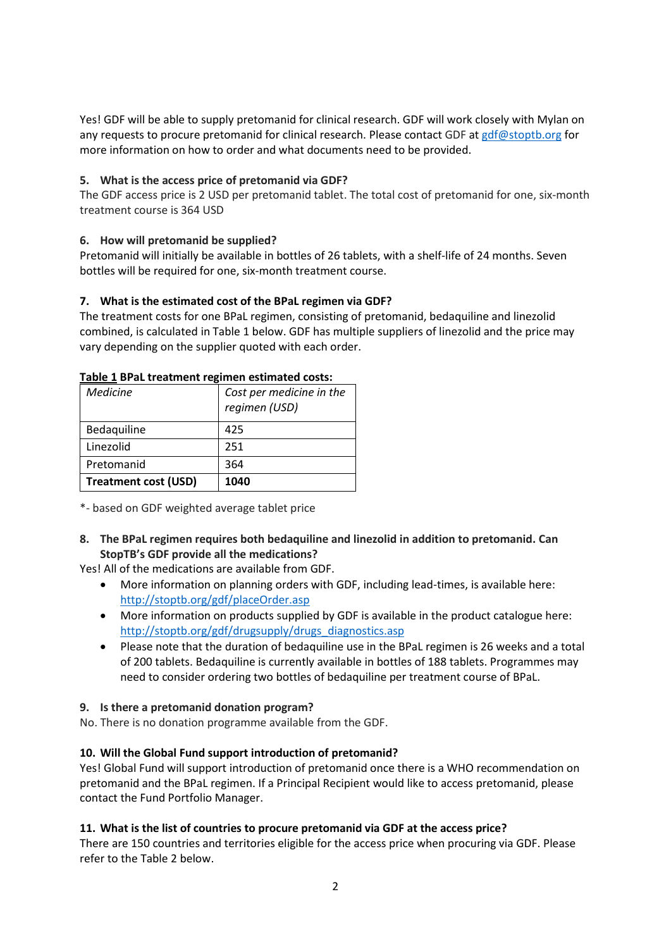Yes! GDF will be able to supply pretomanid for clinical research. GDF will work closely with Mylan on any requests to procure pretomanid for clinical research. Please contact GDF a[t gdf@stoptb.org](mailto:gdf@stoptb.org) for more information on how to order and what documents need to be provided.

## **5. What is the access price of pretomanid via GDF?**

The GDF access price is 2 USD per pretomanid tablet. The total cost of pretomanid for one, six-month treatment course is 364 USD

## **6. How will pretomanid be supplied?**

Pretomanid will initially be available in bottles of 26 tablets, with a shelf-life of 24 months. Seven bottles will be required for one, six-month treatment course.

## **7. What is the estimated cost of the BPaL regimen via GDF?**

The treatment costs for one BPaL regimen, consisting of pretomanid, bedaquiline and linezolid combined, is calculated in Table 1 below. GDF has multiple suppliers of linezolid and the price may vary depending on the supplier quoted with each order.

| Table 1 Dr at treatment regnifien estimated costs.<br><b>Medicine</b> | Cost per medicine in the<br>regimen (USD) |
|-----------------------------------------------------------------------|-------------------------------------------|
| Bedaquiline                                                           | 425                                       |
| Linezolid                                                             | 251                                       |
| Pretomanid                                                            | 364                                       |
| <b>Treatment cost (USD)</b>                                           | 1040                                      |

#### **Table 1 BPaL treatment regimen estimated costs:**

\*- based on GDF weighted average tablet price

**8. The BPaL regimen requires both bedaquiline and linezolid in addition to pretomanid. Can StopTB's GDF provide all the medications?**

Yes! All of the medications are available from GDF.

- More information on planning orders with GDF, including lead-times, is available here: <http://stoptb.org/gdf/placeOrder.asp>
- More information on products supplied by GDF is available in the product catalogue here: [http://stoptb.org/gdf/drugsupply/drugs\\_diagnostics.asp](http://stoptb.org/gdf/drugsupply/drugs_diagnostics.asp)
- Please note that the duration of bedaquiline use in the BPaL regimen is 26 weeks and a total of 200 tablets. Bedaquiline is currently available in bottles of 188 tablets. Programmes may need to consider ordering two bottles of bedaquiline per treatment course of BPaL.

#### **9. Is there a pretomanid donation program?**

No. There is no donation programme available from the GDF.

# **10. Will the Global Fund support introduction of pretomanid?**

Yes! Global Fund will support introduction of pretomanid once there is a WHO recommendation on pretomanid and the BPaL regimen. If a Principal Recipient would like to access pretomanid, please contact the Fund Portfolio Manager.

#### **11. What is the list of countries to procure pretomanid via GDF at the access price?**

There are 150 countries and territories eligible for the access price when procuring via GDF. Please refer to the Table 2 below.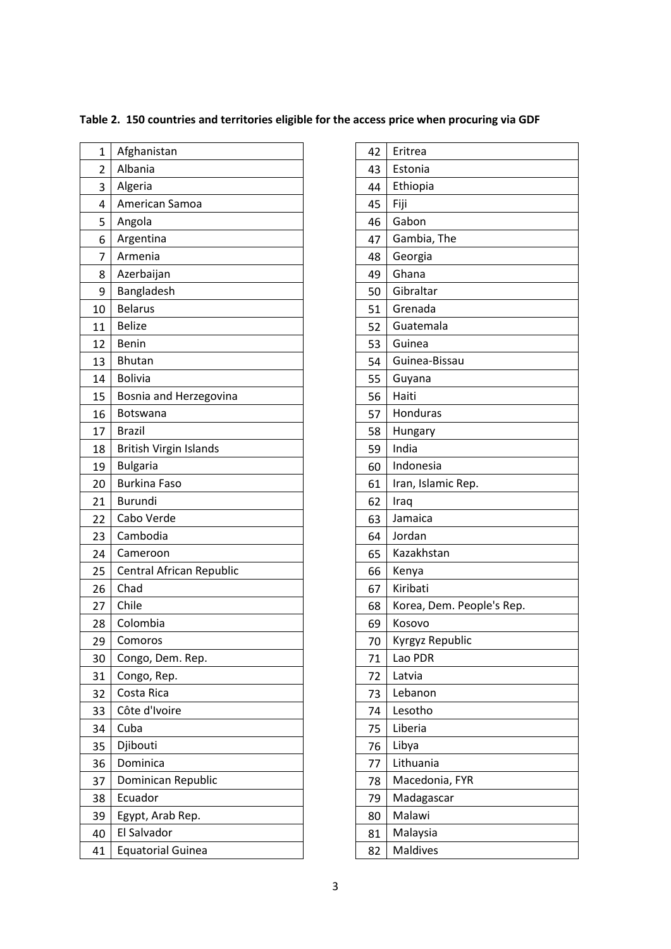| 1  | Afghanistan                   |
|----|-------------------------------|
| 2  | Albania                       |
| 3  | Algeria                       |
| 4  | American Samoa                |
| 5  | Angola                        |
| 6  | Argentina                     |
| 7  | Armenia                       |
| 8  | Azerbaijan                    |
| 9  | Bangladesh                    |
| 10 | <b>Belarus</b>                |
| 11 | <b>Belize</b>                 |
| 12 | <b>Benin</b>                  |
| 13 | <b>Bhutan</b>                 |
| 14 | <b>Bolivia</b>                |
| 15 | Bosnia and Herzegovina        |
| 16 | Botswana                      |
| 17 | <b>Brazil</b>                 |
| 18 | <b>British Virgin Islands</b> |
| 19 | <b>Bulgaria</b>               |
| 20 | <b>Burkina Faso</b>           |
| 21 | <b>Burundi</b>                |
| 22 | Cabo Verde                    |
| 23 | Cambodia                      |
| 24 | Cameroon                      |
| 25 | Central African Republic      |
| 26 | Chad                          |
| 27 | Chile                         |
| 28 | Colombia                      |
| 29 | Comoros                       |
| 30 | Congo, Dem. Rep.              |
| 31 | Congo, Rep.                   |
| 32 | Costa Rica                    |
| 33 | Côte d'Ivoire                 |
| 34 | Cuba                          |
| 35 | Djibouti                      |
| 36 | Dominica                      |
| 37 | Dominican Republic            |
| 38 | Ecuador                       |
| 39 | Egypt, Arab Rep.              |
| 40 | El Salvador                   |
| 41 | <b>Equatorial Guinea</b>      |
|    |                               |

|  | Table 2. 150 countries and territories eligible for the access price when procuring via GDF |  |  |  |  |
|--|---------------------------------------------------------------------------------------------|--|--|--|--|
|--|---------------------------------------------------------------------------------------------|--|--|--|--|

| 42 | Eritrea                   |
|----|---------------------------|
| 43 | Estonia                   |
| 44 | Ethiopia                  |
| 45 | Fiji                      |
| 46 | Gabon                     |
| 47 | Gambia, The               |
| 48 | Georgia                   |
| 49 | Ghana                     |
| 50 | Gibraltar                 |
| 51 | Grenada                   |
| 52 | Guatemala                 |
| 53 | Guinea                    |
| 54 | Guinea-Bissau             |
| 55 | Guyana                    |
| 56 | Haiti                     |
| 57 | Honduras                  |
| 58 | Hungary                   |
| 59 | India                     |
| 60 | Indonesia                 |
| 61 | Iran, Islamic Rep.        |
| 62 | Iraq                      |
| 63 | Jamaica                   |
| 64 | Jordan                    |
| 65 | Kazakhstan                |
| 66 | Kenya                     |
| 67 | Kiribati                  |
| 68 | Korea, Dem. People's Rep. |
| 69 | Kosovo                    |
| 70 | Kyrgyz Republic           |
| 71 | Lao PDR                   |
| 72 | Latvia                    |
| 73 | Lebanon                   |
| 74 | Lesotho                   |
| 75 | Liberia                   |
| 76 | Libya                     |
| 77 | Lithuania                 |
| 78 | Macedonia, FYR            |
| 79 | Madagascar                |
| 80 | Malawi                    |
| 81 | Malaysia                  |
| 82 | <b>Maldives</b>           |